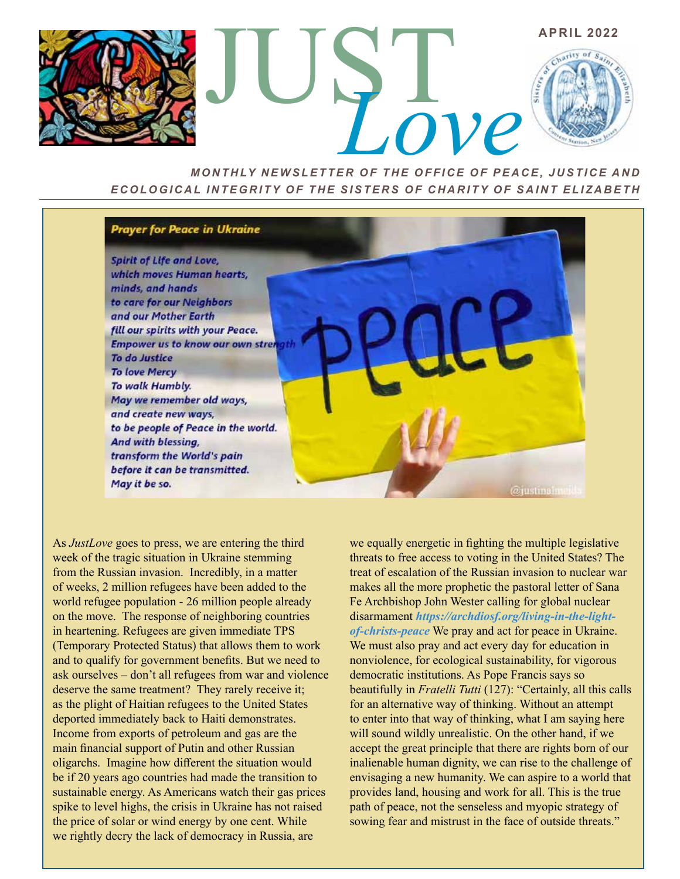

*MONTHLY NEWSLETTER OF THE OFFICE OF PEACE, JUSTICE AND ECOLOGICAL INTEGRITY OF THE SISTERS OF CHARITY OF SAINT ELIZABETH*

## **Prayer for Peace in Ukraine**

Spirit of Life and Love, which moves Human hearts, minds, and hands to care for our Neighbors and our Mother Earth fill our spirits with your Peace. **Empower us to know our own stren** To do Justice **To love Mercy** To walk Humbly. May we remember old ways, and create new ways, to be people of Peace in the world. And with blessing, transform the World's pain before it can be transmitted. May it be so.

As *JustLove* goes to press, we are entering the third week of the tragic situation in Ukraine stemming from the Russian invasion. Incredibly, in a matter of weeks, 2 million refugees have been added to the world refugee population - 26 million people already on the move. The response of neighboring countries in heartening. Refugees are given immediate TPS (Temporary Protected Status) that allows them to work and to qualify for government benefits. But we need to ask ourselves – don't all refugees from war and violence deserve the same treatment? They rarely receive it; as the plight of Haitian refugees to the United States deported immediately back to Haiti demonstrates. Income from exports of petroleum and gas are the main financial support of Putin and other Russian oligarchs. Imagine how different the situation would be if 20 years ago countries had made the transition to sustainable energy. As Americans watch their gas prices spike to level highs, the crisis in Ukraine has not raised the price of solar or wind energy by one cent. While we rightly decry the lack of democracy in Russia, are

we equally energetic in fighting the multiple legislative threats to free access to voting in the United States? The treat of escalation of the Russian invasion to nuclear war makes all the more prophetic the pastoral letter of Sana Fe Archbishop John Wester calling for global nuclear disarmament *https://archdiosf.org/living-in-the-lightof-christs-peace* We pray and act for peace in Ukraine. We must also pray and act every day for education in nonviolence, for ecological sustainability, for vigorous democratic institutions. As Pope Francis says so beautifully in *Fratelli Tutti* (127): "Certainly, all this calls for an alternative way of thinking. Without an attempt to enter into that way of thinking, what I am saying here will sound wildly unrealistic. On the other hand, if we accept the great principle that there are rights born of our inalienable human dignity, we can rise to the challenge of envisaging a new humanity. We can aspire to a world that provides land, housing and work for all. This is the true path of peace, not the senseless and myopic strategy of sowing fear and mistrust in the face of outside threats."

**@justinalmoid**